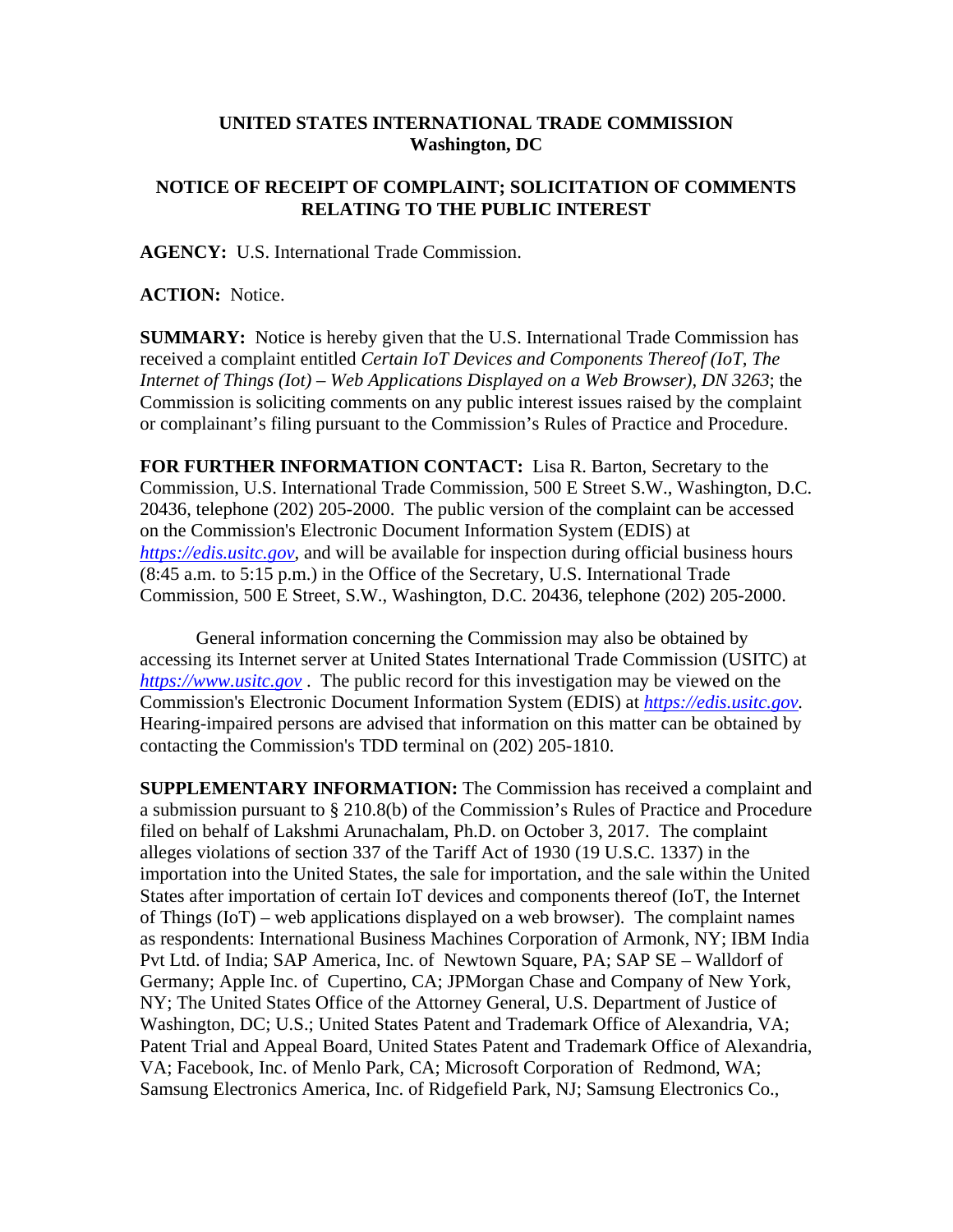## **UNITED STATES INTERNATIONAL TRADE COMMISSION Washington, DC**

## **NOTICE OF RECEIPT OF COMPLAINT; SOLICITATION OF COMMENTS RELATING TO THE PUBLIC INTEREST**

**AGENCY:** U.S. International Trade Commission.

**ACTION:** Notice.

**SUMMARY:** Notice is hereby given that the U.S. International Trade Commission has received a complaint entitled *Certain IoT Devices and Components Thereof (IoT, The Internet of Things (Iot) – Web Applications Displayed on a Web Browser), DN 3263*; the Commission is soliciting comments on any public interest issues raised by the complaint or complainant's filing pursuant to the Commission's Rules of Practice and Procedure.

**FOR FURTHER INFORMATION CONTACT:** Lisa R. Barton, Secretary to the Commission, U.S. International Trade Commission, 500 E Street S.W., Washington, D.C. 20436, telephone (202) 205-2000. The public version of the complaint can be accessed on the Commission's Electronic Document Information System (EDIS) at *https://edis.usitc.gov*, and will be available for inspection during official business hours (8:45 a.m. to 5:15 p.m.) in the Office of the Secretary, U.S. International Trade Commission, 500 E Street, S.W., Washington, D.C. 20436, telephone (202) 205-2000.

General information concerning the Commission may also be obtained by accessing its Internet server at United States International Trade Commission (USITC) at *https://www.usitc.gov* . The public record for this investigation may be viewed on the Commission's Electronic Document Information System (EDIS) at *https://edis.usitc.gov.* Hearing-impaired persons are advised that information on this matter can be obtained by contacting the Commission's TDD terminal on (202) 205-1810.

**SUPPLEMENTARY INFORMATION:** The Commission has received a complaint and a submission pursuant to § 210.8(b) of the Commission's Rules of Practice and Procedure filed on behalf of Lakshmi Arunachalam, Ph.D. on October 3, 2017. The complaint alleges violations of section 337 of the Tariff Act of 1930 (19 U.S.C. 1337) in the importation into the United States, the sale for importation, and the sale within the United States after importation of certain IoT devices and components thereof (IoT, the Internet of Things (IoT) – web applications displayed on a web browser). The complaint names as respondents: International Business Machines Corporation of Armonk, NY; IBM India Pvt Ltd. of India; SAP America, Inc. of Newtown Square, PA; SAP SE – Walldorf of Germany; Apple Inc. of Cupertino, CA; JPMorgan Chase and Company of New York, NY; The United States Office of the Attorney General, U.S. Department of Justice of Washington, DC; U.S.; United States Patent and Trademark Office of Alexandria, VA; Patent Trial and Appeal Board, United States Patent and Trademark Office of Alexandria, VA; Facebook, Inc. of Menlo Park, CA; Microsoft Corporation of Redmond, WA; Samsung Electronics America, Inc. of Ridgefield Park, NJ; Samsung Electronics Co.,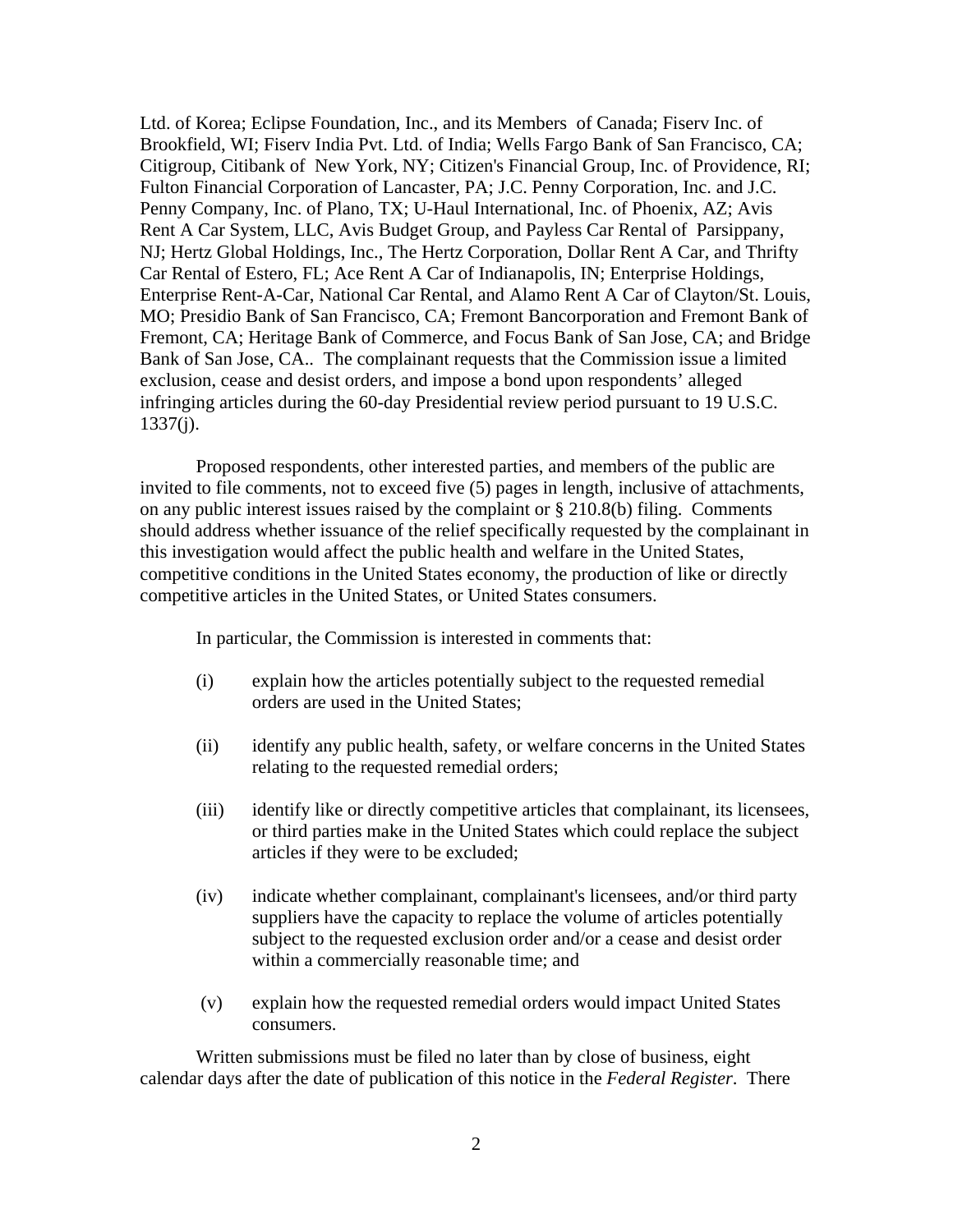Ltd. of Korea; Eclipse Foundation, Inc., and its Members of Canada; Fiserv Inc. of Brookfield, WI; Fiserv India Pvt. Ltd. of India; Wells Fargo Bank of San Francisco, CA; Citigroup, Citibank of New York, NY; Citizen's Financial Group, Inc. of Providence, RI; Fulton Financial Corporation of Lancaster, PA; J.C. Penny Corporation, Inc. and J.C. Penny Company, Inc. of Plano, TX; U-Haul International, Inc. of Phoenix, AZ; Avis Rent A Car System, LLC, Avis Budget Group, and Payless Car Rental of Parsippany, NJ; Hertz Global Holdings, Inc., The Hertz Corporation, Dollar Rent A Car, and Thrifty Car Rental of Estero, FL; Ace Rent A Car of Indianapolis, IN; Enterprise Holdings, Enterprise Rent-A-Car, National Car Rental, and Alamo Rent A Car of Clayton/St. Louis, MO; Presidio Bank of San Francisco, CA; Fremont Bancorporation and Fremont Bank of Fremont, CA; Heritage Bank of Commerce, and Focus Bank of San Jose, CA; and Bridge Bank of San Jose, CA.. The complainant requests that the Commission issue a limited exclusion, cease and desist orders, and impose a bond upon respondents' alleged infringing articles during the 60-day Presidential review period pursuant to 19 U.S.C. 1337(j).

Proposed respondents, other interested parties, and members of the public are invited to file comments, not to exceed five (5) pages in length, inclusive of attachments, on any public interest issues raised by the complaint or § 210.8(b) filing. Comments should address whether issuance of the relief specifically requested by the complainant in this investigation would affect the public health and welfare in the United States, competitive conditions in the United States economy, the production of like or directly competitive articles in the United States, or United States consumers.

In particular, the Commission is interested in comments that:

- (i) explain how the articles potentially subject to the requested remedial orders are used in the United States;
- (ii) identify any public health, safety, or welfare concerns in the United States relating to the requested remedial orders;
- (iii) identify like or directly competitive articles that complainant, its licensees, or third parties make in the United States which could replace the subject articles if they were to be excluded;
- (iv) indicate whether complainant, complainant's licensees, and/or third party suppliers have the capacity to replace the volume of articles potentially subject to the requested exclusion order and/or a cease and desist order within a commercially reasonable time; and
- (v) explain how the requested remedial orders would impact United States consumers.

Written submissions must be filed no later than by close of business, eight calendar days after the date of publication of this notice in the *Federal Register*. There